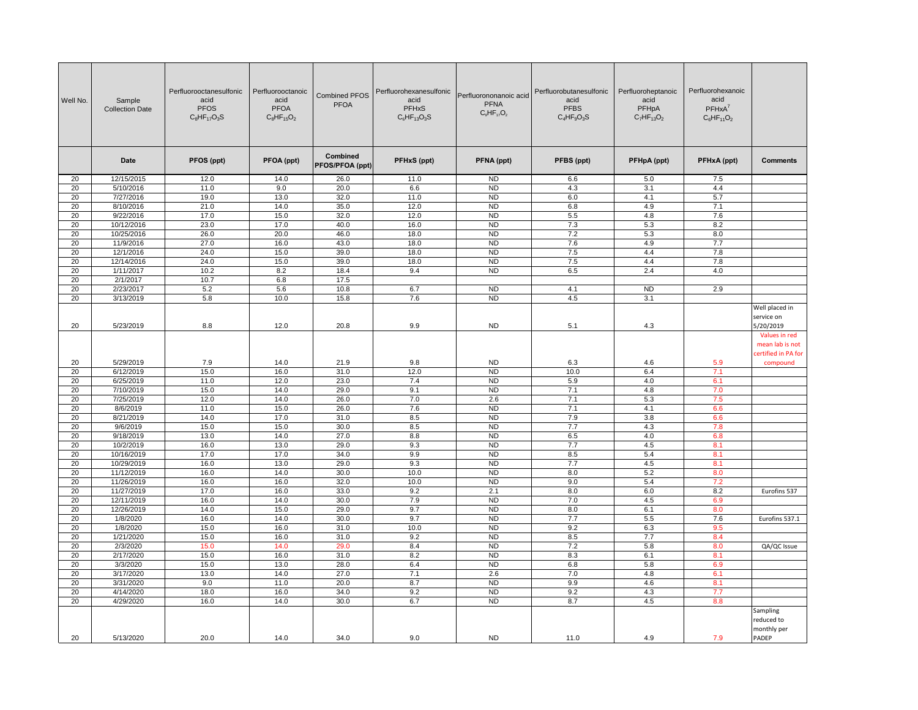| Combined<br><b>Date</b><br>PFOS (ppt)<br>PFOA (ppt)<br><b>PFHxS (ppt)</b><br>PFNA (ppt)<br>PFOS/PFOA (ppt)          | PFBS (ppt)<br>6.6<br>4.3<br>6.0<br>6.8<br>5.5<br>7.3<br>7.2 | PFHpA (ppt)<br>5.0<br>3.1<br>4.1<br>4.9<br>4.8 | PFHxA (ppt)<br>7.5<br>4.4<br>5.7 | <b>Comments</b>                                         |
|---------------------------------------------------------------------------------------------------------------------|-------------------------------------------------------------|------------------------------------------------|----------------------------------|---------------------------------------------------------|
|                                                                                                                     |                                                             |                                                |                                  |                                                         |
| 20<br>12/15/2015<br>14.0<br>26.0<br>ND<br>12.0<br>11.0                                                              |                                                             |                                                |                                  |                                                         |
| 20<br>5/10/2016<br>11.0<br>9.0<br>20.0<br>6.6<br><b>ND</b>                                                          |                                                             |                                                |                                  |                                                         |
| 7/27/2016<br>13.0<br>32.0<br>20<br>19.0<br>11.0<br><b>ND</b>                                                        |                                                             |                                                |                                  |                                                         |
| 20<br>8/10/2016<br>21.0<br>14.0<br>35.0<br>12.0<br><b>ND</b>                                                        |                                                             |                                                | 7.1                              |                                                         |
| 20<br>9/22/2016<br>17.0<br>15.0<br>32.0<br>12.0<br><b>ND</b>                                                        |                                                             |                                                | 7.6                              |                                                         |
| 20<br>10/12/2016<br>23.0<br>17.0<br>40.0<br>16.0<br><b>ND</b>                                                       |                                                             | 5.3                                            | 8.2                              |                                                         |
| 20.0<br>46.0<br>20<br>26.0<br>18.0<br><b>ND</b><br>10/25/2016                                                       |                                                             | 5.3                                            | 8.0                              |                                                         |
| 20<br>11/9/2016<br>27.0<br>43.0<br>18.0<br>N <sub>D</sub><br>16.0<br>20<br>12/1/2016<br>24.0<br><b>ND</b>           | 7.6                                                         | 4.9<br>4.4                                     | 7.7                              |                                                         |
| 39.0<br>15.0<br>18.0<br>20<br>24.0<br>15.0<br>39.0<br><b>ND</b><br>12/14/2016<br>18.0                               | 7.5<br>7.5                                                  | 4.4                                            | 7.8<br>7.8                       |                                                         |
| 20<br>1/11/2017<br>18.4<br>9.4<br>10.2<br>8.2<br><b>ND</b>                                                          | 6.5                                                         | 2.4                                            | 4.0                              |                                                         |
| 20<br>2/1/2017<br>10.7<br>6.8<br>17.5                                                                               |                                                             |                                                |                                  |                                                         |
| N <sub>D</sub><br>20<br>2/23/2017<br>5.2<br>5.6<br>10.8<br>6.7                                                      | 4.1                                                         | <b>ND</b>                                      | 2.9                              |                                                         |
| 20<br>3/13/2019<br>5.8<br>10.0<br>15.8<br>7.6<br><b>ND</b>                                                          | 4.5                                                         | 3.1                                            |                                  |                                                         |
| <b>ND</b><br>20<br>5/23/2019<br>8.8<br>12.0<br>20.8<br>9.9                                                          | 5.1                                                         | 4.3                                            |                                  | Well placed in<br>service on<br>5/20/2019               |
|                                                                                                                     |                                                             |                                                |                                  | Values in red<br>mean lab is not<br>certified in PA for |
| 5/29/2019<br><b>ND</b><br>20<br>7.9<br>14.0<br>21.9<br>9.8                                                          | 6.3                                                         | 4.6                                            | 5.9                              | compound                                                |
| 20<br>31.0<br>6/12/2019<br>15.0<br>16.0<br>12.0<br><b>ND</b>                                                        | 10.0                                                        | 6.4                                            | 7.1                              |                                                         |
| 20<br>6/25/2019<br>12.0<br>23.0<br><b>ND</b><br>11.0<br>7.4                                                         | 5.9                                                         | 4.0                                            | 6.1                              |                                                         |
| 20<br>7/10/2019<br>15.0<br>14.0<br>29.0<br>9.1<br><b>ND</b>                                                         | 7.1                                                         | 4.8                                            | 7.0                              |                                                         |
| 20<br>7/25/2019<br>12.0<br>14.0<br>26.0<br>7.0<br>2.6                                                               | 7.1                                                         | 5.3                                            | 7.5                              |                                                         |
| 20<br>11.0<br>15.0<br>26.0<br>7.6<br><b>ND</b><br>8/6/2019                                                          | 7.1                                                         | 4.1                                            | 6.6                              |                                                         |
| 20<br>8/21/2019<br>14.0<br>17.0<br>31.0<br>8.5<br>N <sub>D</sub>                                                    | 7.9                                                         | 3.8                                            | 6.6                              |                                                         |
| 20<br>9/6/2019<br>15.0<br>15.0<br>30.0<br>8.5<br><b>ND</b><br>20<br>9/18/2019<br>14.0<br>27.0<br>8.8<br><b>ND</b>   | 7.7<br>6.5                                                  | 4.3<br>4.0                                     | 7.8<br>6.8                       |                                                         |
| 13.0<br>20<br>10/2/2019<br>13.0<br>29.0<br>9.3<br><b>ND</b><br>16.0                                                 | 7.7                                                         | 4.5                                            | 8.1                              |                                                         |
| 20<br>17.0<br>9.9<br>N <sub>D</sub><br>10/16/2019<br>17.0<br>34.0                                                   | 8.5                                                         | 5.4                                            | 8.1                              |                                                         |
| 20<br>10/29/2019<br>29.0<br>16.0<br>13.0<br>9.3<br><b>ND</b>                                                        | 7.7                                                         | 4.5                                            | 8.1                              |                                                         |
| 30.0<br>20<br>11/12/2019<br>16.0<br>14.0<br>10.0<br><b>ND</b>                                                       | 8.0                                                         | 5.2                                            | 8.0                              |                                                         |
| 20<br>16.0<br>32.0<br><b>ND</b><br>11/26/2019<br>16.0<br>10.0                                                       | 9.0                                                         | 5.4                                            | 7.2                              |                                                         |
| 20<br>11/27/2019<br>17.0<br>16.0<br>33.0<br>9.2<br>2.1                                                              | 8.0                                                         | 6.0                                            | 8.2                              | Eurofins 537                                            |
| 20<br>12/11/2019<br>16.0<br>14.0<br>30.0<br>7.9<br><b>ND</b>                                                        | 7.0                                                         | 4.5                                            | 6.9                              |                                                         |
| 20<br>12/26/2019<br>14.0<br>15.0<br>29.0<br>9.7<br><b>ND</b>                                                        | 8.0                                                         | 6.1                                            | 8.0                              |                                                         |
| 20<br>9.7<br>1/8/2020<br>16.0<br>14.0<br>30.0<br><b>ND</b>                                                          | 7.7                                                         | 5.5                                            | 7.6                              | Eurofins 537.1                                          |
| 20<br>16.0<br>31.0<br>10.0<br><b>ND</b><br>1/8/2020<br>15.0                                                         | 9.2                                                         | 6.3                                            | 9.5                              |                                                         |
| 20<br>1/21/2020<br>15.0<br>16.0<br>31.0<br>9.2<br><b>ND</b>                                                         | 8.5                                                         | 7.7                                            | 8.4                              |                                                         |
| 20<br>8.4<br>2/3/2020<br>15.0<br>14.0<br>29.0<br><b>ND</b>                                                          | 7.2                                                         | 5.8                                            | 8.0                              | QA/QC Issue                                             |
| 8.2<br>N <sub>D</sub><br>20<br>2/17/2020<br>15.0<br>16.0<br>31.0                                                    | 8.3                                                         | 6.1                                            | 8.1                              |                                                         |
| 20<br>3/3/2020<br>15.0<br>13.0<br>28.0<br>6.4<br><b>ND</b><br>20<br>3/17/2020<br>13.0<br>14.0<br>27.0<br>7.1<br>2.6 | 6.8<br>7.0                                                  | 5.8<br>4.8                                     | 6.9<br>6.1                       |                                                         |
| 11.0<br>20.0<br>8.7<br><b>ND</b><br>20<br>3/31/2020<br>9.0                                                          | 9.9                                                         | 4.6                                            | 8.1                              |                                                         |
| 20<br>4/14/2020<br>18.0<br>16.0<br>34.0<br>9.2<br><b>ND</b>                                                         | 9.2                                                         | 4.3                                            | 7.7                              |                                                         |
| 20<br>4/29/2020<br>16.0<br>14.0<br>30.0<br>6.7<br><b>ND</b>                                                         | 8.7                                                         | 4.5                                            | 8.8                              |                                                         |
| 5/13/2020<br><b>ND</b><br>20<br>20.0<br>14.0<br>34.0<br>9.0                                                         | 11.0                                                        | 4.9                                            | 7.9                              | Sampling<br>reduced to<br>monthly per<br>PADEP          |